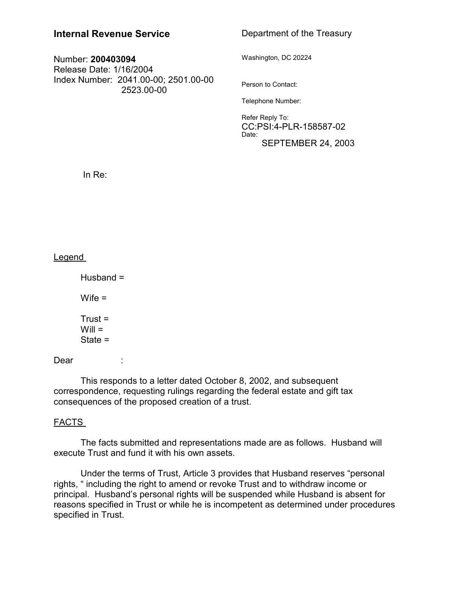# **Internal Revenue Service**

## Number: **200403094** Release Date: 1/16/2004 Index Number: 2041.00-00; 2501.00-00 2523.00-00

# Department of the Treasury

Washington, DC 20224

Person to Contact:

Telephone Number:

Refer Reply To: CC:PSI:4-PLR-158587-02 Date: SEPTEMBER 24, 2003

In Re:

## **Legend**

Husband =  $Wife =$  $Trust =$  $Will =$ State =

Dear :

This responds to a letter dated October 8, 2002, and subsequent correspondence, requesting rulings regarding the federal estate and gift tax consequences of the proposed creation of a trust.

## FACTS

The facts submitted and representations made are as follows. Husband will execute Trust and fund it with his own assets.

Under the terms of Trust, Article 3 provides that Husband reserves "personal rights, " including the right to amend or revoke Trust and to withdraw income or principal. Husband's personal rights will be suspended while Husband is absent for reasons specified in Trust or while he is incompetent as determined under procedures specified in Trust.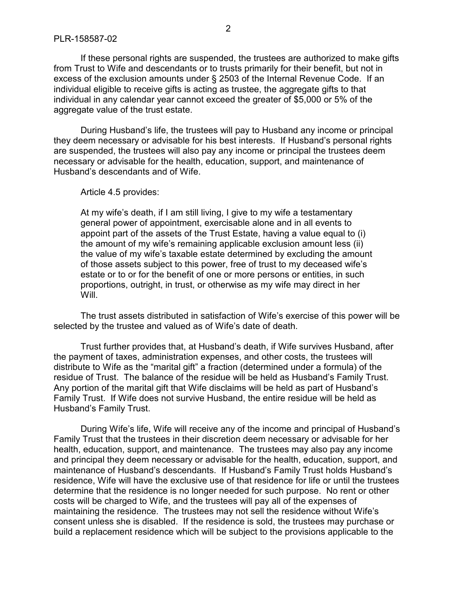If these personal rights are suspended, the trustees are authorized to make gifts from Trust to Wife and descendants or to trusts primarily for their benefit, but not in excess of the exclusion amounts under § 2503 of the Internal Revenue Code. If an individual eligible to receive gifts is acting as trustee, the aggregate gifts to that individual in any calendar year cannot exceed the greater of \$5,000 or 5% of the aggregate value of the trust estate.

During Husband's life, the trustees will pay to Husband any income or principal they deem necessary or advisable for his best interests. If Husband's personal rights are suspended, the trustees will also pay any income or principal the trustees deem necessary or advisable for the health, education, support, and maintenance of Husband's descendants and of Wife.

Article 4.5 provides:

At my wife's death, if I am still living, I give to my wife a testamentary general power of appointment, exercisable alone and in all events to appoint part of the assets of the Trust Estate, having a value equal to (i) the amount of my wife's remaining applicable exclusion amount less (ii) the value of my wife's taxable estate determined by excluding the amount of those assets subject to this power, free of trust to my deceased wife's estate or to or for the benefit of one or more persons or entities, in such proportions, outright, in trust, or otherwise as my wife may direct in her Will.

The trust assets distributed in satisfaction of Wife's exercise of this power will be selected by the trustee and valued as of Wife's date of death.

Trust further provides that, at Husband's death, if Wife survives Husband, after the payment of taxes, administration expenses, and other costs, the trustees will distribute to Wife as the "marital gift" a fraction (determined under a formula) of the residue of Trust. The balance of the residue will be held as Husband's Family Trust. Any portion of the marital gift that Wife disclaims will be held as part of Husband's Family Trust. If Wife does not survive Husband, the entire residue will be held as Husband's Family Trust.

During Wife's life, Wife will receive any of the income and principal of Husband's Family Trust that the trustees in their discretion deem necessary or advisable for her health, education, support, and maintenance. The trustees may also pay any income and principal they deem necessary or advisable for the health, education, support, and maintenance of Husband's descendants. If Husband's Family Trust holds Husband's residence, Wife will have the exclusive use of that residence for life or until the trustees determine that the residence is no longer needed for such purpose. No rent or other costs will be charged to Wife, and the trustees will pay all of the expenses of maintaining the residence. The trustees may not sell the residence without Wife's consent unless she is disabled. If the residence is sold, the trustees may purchase or build a replacement residence which will be subject to the provisions applicable to the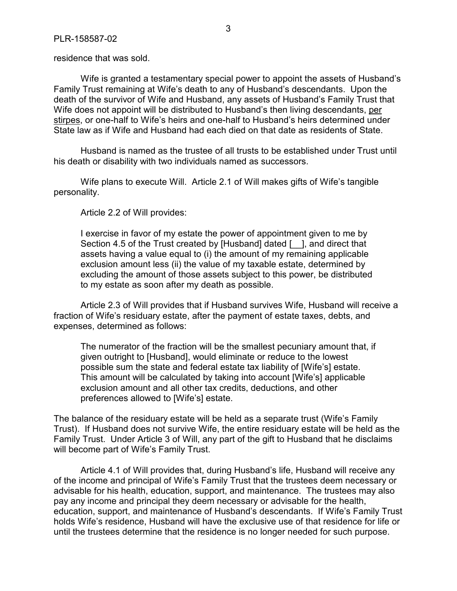residence that was sold.

Wife is granted a testamentary special power to appoint the assets of Husband's Family Trust remaining at Wife's death to any of Husband's descendants. Upon the death of the survivor of Wife and Husband, any assets of Husband's Family Trust that Wife does not appoint will be distributed to Husband's then living descendants, per stirpes, or one-half to Wife's heirs and one-half to Husband's heirs determined under State law as if Wife and Husband had each died on that date as residents of State.

Husband is named as the trustee of all trusts to be established under Trust until his death or disability with two individuals named as successors.

Wife plans to execute Will. Article 2.1 of Will makes gifts of Wife's tangible personality.

Article 2.2 of Will provides:

I exercise in favor of my estate the power of appointment given to me by Section 4.5 of the Trust created by [Husband] dated [ ], and direct that assets having a value equal to (i) the amount of my remaining applicable exclusion amount less (ii) the value of my taxable estate, determined by excluding the amount of those assets subject to this power, be distributed to my estate as soon after my death as possible.

Article 2.3 of Will provides that if Husband survives Wife, Husband will receive a fraction of Wife's residuary estate, after the payment of estate taxes, debts, and expenses, determined as follows:

The numerator of the fraction will be the smallest pecuniary amount that, if given outright to [Husband], would eliminate or reduce to the lowest possible sum the state and federal estate tax liability of [Wife's] estate. This amount will be calculated by taking into account [Wife's] applicable exclusion amount and all other tax credits, deductions, and other preferences allowed to [Wife's] estate.

The balance of the residuary estate will be held as a separate trust (Wife's Family Trust). If Husband does not survive Wife, the entire residuary estate will be held as the Family Trust. Under Article 3 of Will, any part of the gift to Husband that he disclaims will become part of Wife's Family Trust.

Article 4.1 of Will provides that, during Husband's life, Husband will receive any of the income and principal of Wife's Family Trust that the trustees deem necessary or advisable for his health, education, support, and maintenance. The trustees may also pay any income and principal they deem necessary or advisable for the health, education, support, and maintenance of Husband's descendants. If Wife's Family Trust holds Wife's residence, Husband will have the exclusive use of that residence for life or until the trustees determine that the residence is no longer needed for such purpose.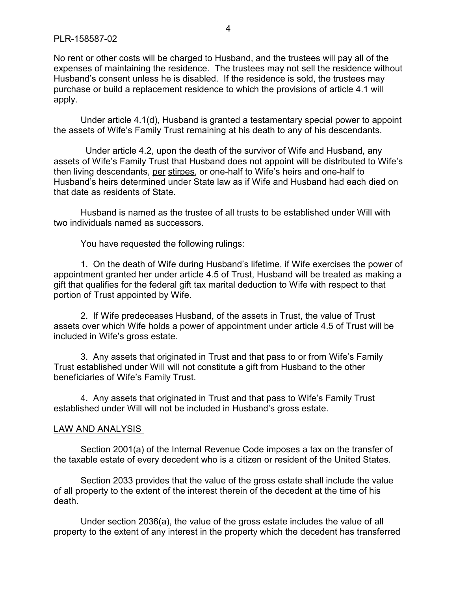### PLR-158587-02

No rent or other costs will be charged to Husband, and the trustees will pay all of the expenses of maintaining the residence. The trustees may not sell the residence without Husband's consent unless he is disabled. If the residence is sold, the trustees may purchase or build a replacement residence to which the provisions of article 4.1 will apply.

Under article 4.1(d), Husband is granted a testamentary special power to appoint the assets of Wife's Family Trust remaining at his death to any of his descendants.

 Under article 4.2, upon the death of the survivor of Wife and Husband, any assets of Wife's Family Trust that Husband does not appoint will be distributed to Wife's then living descendants, per stirpes, or one-half to Wife's heirs and one-half to Husband's heirs determined under State law as if Wife and Husband had each died on that date as residents of State.

Husband is named as the trustee of all trusts to be established under Will with two individuals named as successors.

You have requested the following rulings:

1. On the death of Wife during Husband's lifetime, if Wife exercises the power of appointment granted her under article 4.5 of Trust, Husband will be treated as making a gift that qualifies for the federal gift tax marital deduction to Wife with respect to that portion of Trust appointed by Wife.

2. If Wife predeceases Husband, of the assets in Trust, the value of Trust assets over which Wife holds a power of appointment under article 4.5 of Trust will be included in Wife's gross estate.

3. Any assets that originated in Trust and that pass to or from Wife's Family Trust established under Will will not constitute a gift from Husband to the other beneficiaries of Wife's Family Trust.

4. Any assets that originated in Trust and that pass to Wife's Family Trust established under Will will not be included in Husband's gross estate.

### LAW AND ANALYSIS

Section 2001(a) of the Internal Revenue Code imposes a tax on the transfer of the taxable estate of every decedent who is a citizen or resident of the United States.

Section 2033 provides that the value of the gross estate shall include the value of all property to the extent of the interest therein of the decedent at the time of his death.

Under section 2036(a), the value of the gross estate includes the value of all property to the extent of any interest in the property which the decedent has transferred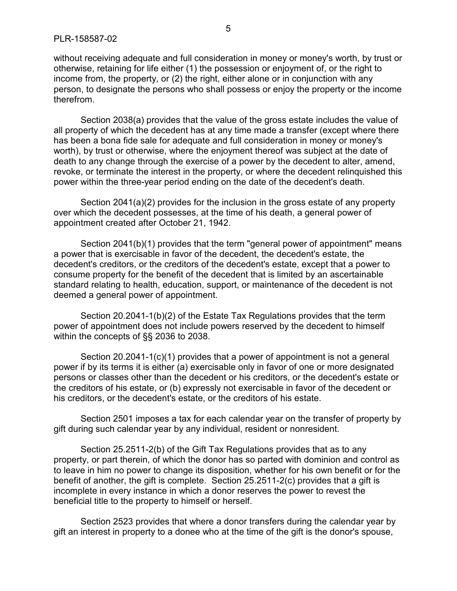without receiving adequate and full consideration in money or money's worth, by trust or otherwise, retaining for life either (1) the possession or enjoyment of, or the right to income from, the property, or (2) the right, either alone or in conjunction with any person, to designate the persons who shall possess or enjoy the property or the income therefrom.

Section 2038(a) provides that the value of the gross estate includes the value of all property of which the decedent has at any time made a transfer (except where there has been a bona fide sale for adequate and full consideration in money or money's worth), by trust or otherwise, where the enjoyment thereof was subject at the date of death to any change through the exercise of a power by the decedent to alter, amend, revoke, or terminate the interest in the property, or where the decedent relinquished this power within the three-year period ending on the date of the decedent's death.

Section 2041(a)(2) provides for the inclusion in the gross estate of any property over which the decedent possesses, at the time of his death, a general power of appointment created after October 21, 1942.

Section 2041(b)(1) provides that the term "general power of appointment" means a power that is exercisable in favor of the decedent, the decedent's estate, the decedent's creditors, or the creditors of the decedent's estate, except that a power to consume property for the benefit of the decedent that is limited by an ascertainable standard relating to health, education, support, or maintenance of the decedent is not deemed a general power of appointment.

Section 20.2041-1(b)(2) of the Estate Tax Regulations provides that the term power of appointment does not include powers reserved by the decedent to himself within the concepts of §§ 2036 to 2038.

Section 20.2041-1(c)(1) provides that a power of appointment is not a general power if by its terms it is either (a) exercisable only in favor of one or more designated persons or classes other than the decedent or his creditors, or the decedent's estate or the creditors of his estate, or (b) expressly not exercisable in favor of the decedent or his creditors, or the decedent's estate, or the creditors of his estate.

Section 2501 imposes a tax for each calendar year on the transfer of property by gift during such calendar year by any individual, resident or nonresident.

Section 25.2511-2(b) of the Gift Tax Regulations provides that as to any property, or part therein, of which the donor has so parted with dominion and control as to leave in him no power to change its disposition, whether for his own benefit or for the benefit of another, the gift is complete. Section 25.2511-2(c) provides that a gift is incomplete in every instance in which a donor reserves the power to revest the beneficial title to the property to himself or herself.

Section 2523 provides that where a donor transfers during the calendar year by gift an interest in property to a donee who at the time of the gift is the donor's spouse,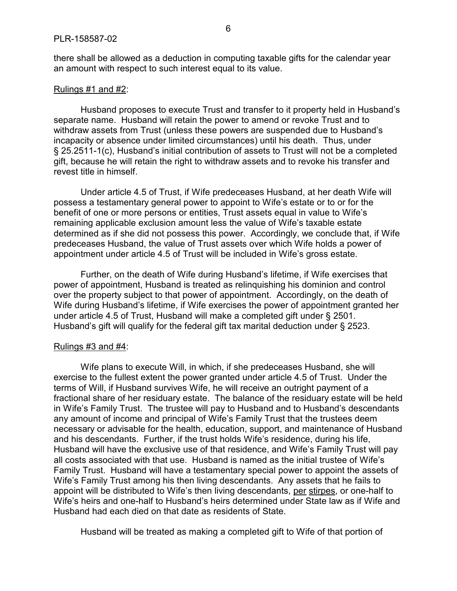there shall be allowed as a deduction in computing taxable gifts for the calendar year an amount with respect to such interest equal to its value.

#### Rulings  $#1$  and  $#2$ :

Husband proposes to execute Trust and transfer to it property held in Husband's separate name. Husband will retain the power to amend or revoke Trust and to withdraw assets from Trust (unless these powers are suspended due to Husband's incapacity or absence under limited circumstances) until his death. Thus, under § 25.2511-1(c), Husband's initial contribution of assets to Trust will not be a completed gift, because he will retain the right to withdraw assets and to revoke his transfer and revest title in himself.

Under article 4.5 of Trust, if Wife predeceases Husband, at her death Wife will possess a testamentary general power to appoint to Wife's estate or to or for the benefit of one or more persons or entities, Trust assets equal in value to Wife's remaining applicable exclusion amount less the value of Wife's taxable estate determined as if she did not possess this power. Accordingly, we conclude that, if Wife predeceases Husband, the value of Trust assets over which Wife holds a power of appointment under article 4.5 of Trust will be included in Wife's gross estate.

Further, on the death of Wife during Husband's lifetime, if Wife exercises that power of appointment, Husband is treated as relinquishing his dominion and control over the property subject to that power of appointment. Accordingly, on the death of Wife during Husband's lifetime, if Wife exercises the power of appointment granted her under article 4.5 of Trust, Husband will make a completed gift under § 2501. Husband's gift will qualify for the federal gift tax marital deduction under § 2523.

#### Rulings #3 and #4:

Wife plans to execute Will, in which, if she predeceases Husband, she will exercise to the fullest extent the power granted under article 4.5 of Trust. Under the terms of Will, if Husband survives Wife, he will receive an outright payment of a fractional share of her residuary estate. The balance of the residuary estate will be held in Wife's Family Trust. The trustee will pay to Husband and to Husband's descendants any amount of income and principal of Wife's Family Trust that the trustees deem necessary or advisable for the health, education, support, and maintenance of Husband and his descendants. Further, if the trust holds Wife's residence, during his life, Husband will have the exclusive use of that residence, and Wife's Family Trust will pay all costs associated with that use. Husband is named as the initial trustee of Wife's Family Trust. Husband will have a testamentary special power to appoint the assets of Wife's Family Trust among his then living descendants. Any assets that he fails to appoint will be distributed to Wife's then living descendants, per stirpes, or one-half to Wife's heirs and one-half to Husband's heirs determined under State law as if Wife and Husband had each died on that date as residents of State.

Husband will be treated as making a completed gift to Wife of that portion of